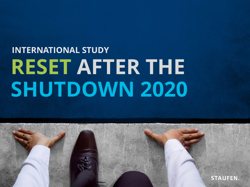# **INTERNATIONAL STUDY RESET AFTER THE SHUTDOWN 2020**

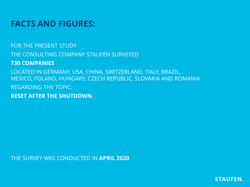### **FACTS AND FIGURES:**

FOR THE PRESENT STUDY THE CONSULTING COMPANY STAUFEN SURVEYED **730 COMPANIES** LOCATED IN GERMANY, USA, CHINA, SWITZERLAND, ITALY, BRAZIL, MEXICO, POLAND, HUNGARY, CZECH REPUBLIC, SLOVAKIA AND ROMANIA REGARDING THE TOPIC: **RESET AFTER THE SHUTDOWN**.

THE SURVEY WAS CONDUCTED IN **APRIL 2020**.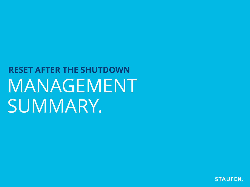# MANAGEMENT SUMMARY. **RESET AFTER THE SHUTDOWN**

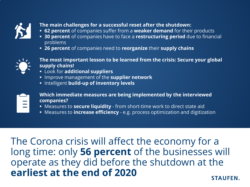

- **The main challenges for a successful reset after the shutdown:**
- **62 percent** of companies suffer from a **weaker demand** for their products
- **30 percent** of companies have to face a **restructuring period** due to financial problems
- **26 percent** of companies need to **reorganize** their **supply chains**



- **The most important lesson to be learned from the crisis: Secure your global supply chains!**
- Look for **additional suppliers**
- **IMPROVE Management of the supplier network**
- **Intelligent build-up of inventory levels**

**Which immediate measures are being implemented by the interviewed companies?**

- Measures to **secure liquidity**  from short-time work to direct state aid
- Measures to **increase efficiency**  e.g. process optimization and digitization

The Corona crisis will affect the economy for a long time: only **56 percent** of the businesses will operate as they did before the shutdown at the **earliest at the end of 2020 STAUFEN.**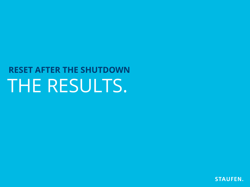# THE RESULTS. **RESET AFTER THE SHUTDOWN**

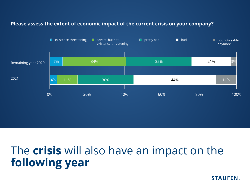#### **Please assess the extent of economic impact of the current crisis on your company?**



# The **crisis** will also have an impact on the **following year**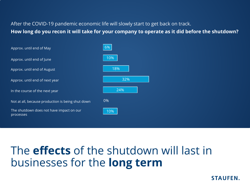#### After the COVID-19 pandemic economic life will slowly start to get back on track. **How long do you recon it will take for your company to operate as it did before the shutdown?**

| Approx. until end of May                              | 6%  |
|-------------------------------------------------------|-----|
| Approx. until end of June                             | 10% |
| Approx. until end of August                           | 18% |
| Approx. until end of next year                        | 32% |
| In the course of the next year                        | 24% |
| Not at all, because production is being shut down     | 0%  |
| The shutdown does not have impact on our<br>processes | 10% |

# The **effects** of the shutdown will last in businesses for the **long term**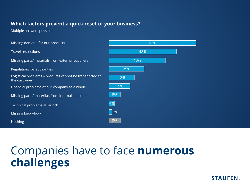#### **Which factors prevent a quick reset of your business?**

Multiple answers possible

| Missing demand for our products                                         | 62%        |  |  |
|-------------------------------------------------------------------------|------------|--|--|
| <b>Travel restrictions</b>                                              | 48%        |  |  |
| Missing parts/ materials from external suppliers                        | 40%        |  |  |
| Regulations by authorities                                              | 25%        |  |  |
| Logistical problems - products cannot be transported to<br>the customer | 18%        |  |  |
| Financial problems of our company as a whole                            | 15%        |  |  |
| Missing parts/ materilas from internal suppliers                        | 8%         |  |  |
| Technical problems at launch                                            | 4%         |  |  |
| Missing know-how                                                        | $\vert$ 2% |  |  |
| <b>Nothing</b>                                                          | 8%         |  |  |

# Companies have to face **numerous challenges**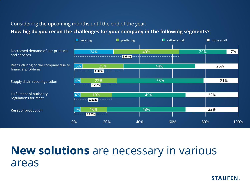#### Considering the upcoming months until the end of the year:

#### **How big do you recon the challenges for your company in the following segments?**

|                                                           | $\Box$ very big                                         | pretty big     | $\blacksquare$ rather small |     | $\blacksquare$ none at all |
|-----------------------------------------------------------|---------------------------------------------------------|----------------|-----------------------------|-----|----------------------------|
| Decreased demand of our products<br>and services          | 24%                                                     | $\sqrt{264\%}$ | 40%                         | 29% | 7%                         |
| Restructuring of the company due to<br>financial problems | 5%<br>25%<br>$\Sigma$ 30%                               |                | 44%                         |     | 26%                        |
| Supply chain reconfiguration                              | $4\%$<br>22%<br>$\mathsf{\Sigma}$ 26% $\mathsf{\Sigma}$ |                | 53%                         |     | 21%                        |
| Fulfillment of authority<br>regulations for reset         | $4\%$<br>19%<br>$\sqrt{223\%}$                          |                | 45%                         |     | 32%                        |
| Reset of production                                       | 16%<br>$4\%$<br>$\Sigma$ 20%                            |                | 48%                         |     | 32%                        |
|                                                           | 0%                                                      | 20%<br>40%     | 60%                         | 80% | 100%                       |

## **New solutions** are necessary in various areas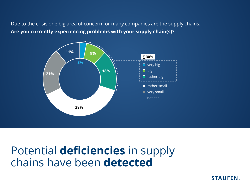Due to the crisis one big area of concern for many companies are the supply chains. **Are you currently experiencing problems with your supply chain(s)?**



## Potential **deficiencies** in supply chains have been **detected**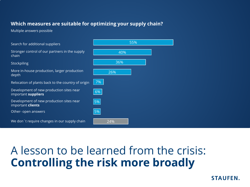#### **Which measures are suitable for optimizing your supply chain?**

Multiple answers possible



# A lesson to be learned from the crisis: **Controlling the risk more broadly**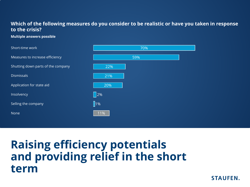#### **Which of the following measures do you consider to be realistic or have you taken in response to the crisis?**

#### **Multiple answers possible**



# **Raising efficiency potentials and providing relief in the short term**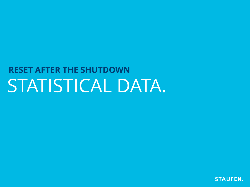

# STATISTICAL DATA. **RESET AFTER THE SHUTDOWN**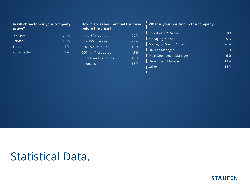| $\parallel$ In which sectors is your company<br>active? |                              | before the crisis?                                                                                                               |                                             | $\frac{1}{2}$ How big was your annual turnover $\frac{1}{2}$ What is your position in the company?                                                             |                                                  |
|---------------------------------------------------------|------------------------------|----------------------------------------------------------------------------------------------------------------------------------|---------------------------------------------|----------------------------------------------------------------------------------------------------------------------------------------------------------------|--------------------------------------------------|
| Industry<br>Service<br>Trade<br>Public sector           | 76 %<br>19 %<br>4 %<br>$1\%$ | up to 50 m. euros<br>50 – 250 m. euros<br>$250 - 500$ m. euros<br>$500$ m. $-1$ bn. euros<br>more than 1 bn. euros<br>no details | 29 %<br>23 %<br>12 %<br>5 %<br>13 %<br>18 % | Shareholder/ Owner<br><b>Managing Partner</b><br>Managing Director/ Board<br><b>Division Manager</b><br>Main Department Manager<br>Department Manager<br>Other | 8%<br>9 %<br>26 %<br>22 %<br>6 %<br>14 %<br>15 % |

## Statistical Data.